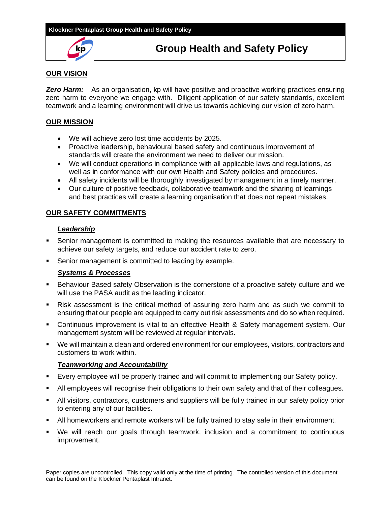

# **Group Health and Safety Policy**

# **OUR VISION**

**Zero Harm:** As an organisation, kp will have positive and proactive working practices ensuring zero harm to everyone we engage with. Diligent application of our safety standards, excellent teamwork and a learning environment will drive us towards achieving our vision of zero harm.

# **OUR MISSION**

- We will achieve zero lost time accidents by 2025.
- Proactive leadership, behavioural based safety and continuous improvement of standards will create the environment we need to deliver our mission.
- We will conduct operations in compliance with all applicable laws and regulations, as well as in conformance with our own Health and Safety policies and procedures.
- All safety incidents will be thoroughly investigated by management in a timely manner.
- Our culture of positive feedback, collaborative teamwork and the sharing of learnings and best practices will create a learning organisation that does not repeat mistakes.

# **OUR SAFETY COMMITMENTS**

# *Leadership*

- **EX** Senior management is committed to making the resources available that are necessary to achieve our safety targets, and reduce our accident rate to zero.
- Senior management is committed to leading by example.

# *Systems & Processes*

- **EXECT** Behaviour Based safety Observation is the cornerstone of a proactive safety culture and we will use the PASA audit as the leading indicator.
- Risk assessment is the critical method of assuring zero harm and as such we commit to ensuring that our people are equipped to carry out risk assessments and do so when required.
- **•** Continuous improvement is vital to an effective Health & Safety management system. Our management system will be reviewed at regular intervals.
- We will maintain a clean and ordered environment for our employees, visitors, contractors and customers to work within.

# *Teamworking and Accountability*

- Every employee will be properly trained and will commit to implementing our Safety policy.
- All employees will recognise their obligations to their own safety and that of their colleagues.
- **EXECT All visitors, contractors, customers and suppliers will be fully trained in our safety policy prior** to entering any of our facilities.
- All homeworkers and remote workers will be fully trained to stay safe in their environment.
- We will reach our goals through teamwork, inclusion and a commitment to continuous improvement.